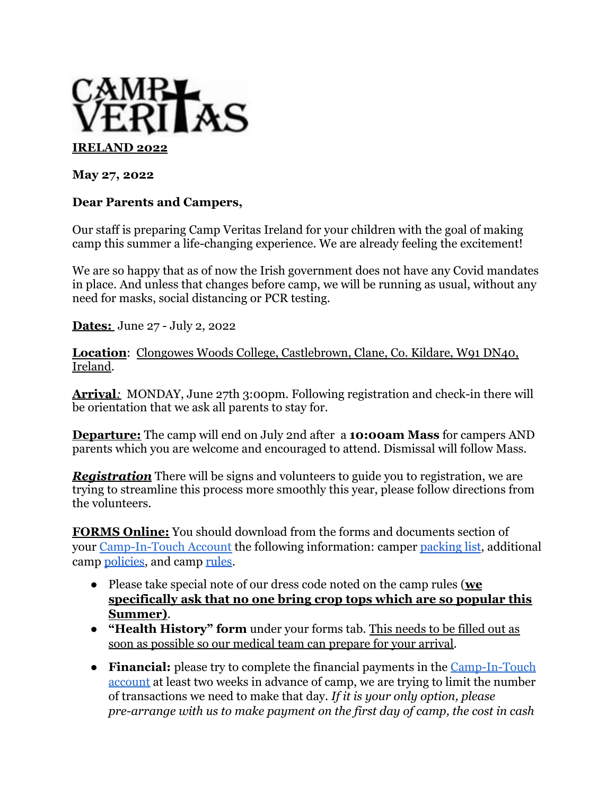

**May 27, 2022**

## **Dear Parents and Campers,**

Our staff is preparing Camp Veritas Ireland for your children with the goal of making camp this summer a life-changing experience. We are already feeling the excitement!

We are so happy that as of now the Irish government does not have any Covid mandates in place. And unless that changes before camp, we will be running as usual, without any need for masks, social distancing or PCR testing.

**Dates:** June 27 - July 2, 2022

**Location**: Clongowes Woods College, Castlebrown, Clane, Co. Kildare, W91 DN40, Ireland.

**Arrival***:* MONDAY, June 27th 3:00pm. Following registration and check-in there will be orientation that we ask all parents to stay for.

**Departure:** The camp will end on July 2nd after a **10:00am Mass** for campers AND parents which you are welcome and encouraged to attend. Dismissal will follow Mass.

*Registration* There will be signs and volunteers to guide you to registration, we are trying to streamline this process more smoothly this year, please follow directions from the volunteers.

**FORMS Online:** You should download from the forms and documents section of your [Camp-In-Touch Account](https://campveritas.campintouch.com/v2/login.aspx) the following information: camper [packing list](https://www.campveritasireland.org/_files/ugd/66eb73_0e36d023cc05461497315fc96f61cf4d.pdf), additional camp [policies](https://www.campveritasireland.org/_files/ugd/66eb73_e9824867ee3c40c19faf4b70bd448452.pdf), and camp [rules](https://www.campveritasireland.org/_files/ugd/66eb73_513d0fd6ba3f481994fd7857126ecf9d.pdf).

- Please take special note of our dress code noted on the camp rules (**we specifically ask that no one bring crop tops which are so popular this Summer)**.
- **"Health History" form** under your forms tab. This needs to be filled out as soon as possible so our medical team can prepare for your arrival.
- **Financial:** please try to complete the financial payments in the [Camp-In-Touch](https://campveritas.campintouch.com/v2/login.aspx) [account](https://campveritas.campintouch.com/v2/login.aspx) at least two weeks in advance of camp, we are trying to limit the number of transactions we need to make that day. *If it is your only option, please pre-arrange with us to make payment on the first day of camp, the cost in cash*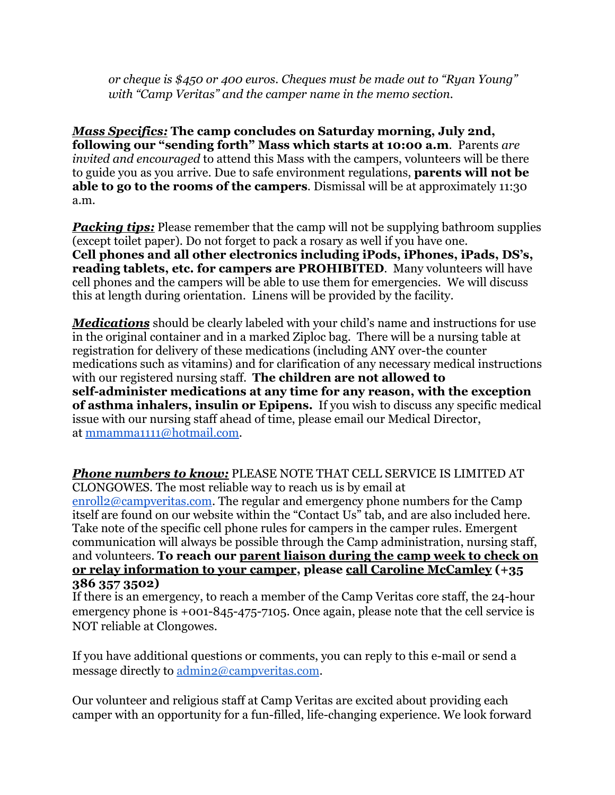*or cheque is \$450 or 400 euros. Cheques must be made out to "Ryan Young" with "Camp Veritas" and the camper name in the memo section.*

*Mass Specifics:* **The camp concludes on Saturday morning, July 2nd, following our "sending forth" Mass which starts at 10:00 a.m**. Parents *are invited and encouraged* to attend this Mass with the campers, volunteers will be there to guide you as you arrive. Due to safe environment regulations, **parents will not be able to go to the rooms of the campers**. Dismissal will be at approximately 11:30 a.m.

*Packing tips:* Please remember that the camp will not be supplying bathroom supplies (except toilet paper). Do not forget to pack a rosary as well if you have one. **Cell phones and all other electronics including iPods, iPhones, iPads, DS's, reading tablets, etc. for campers are PROHIBITED**. Many volunteers will have cell phones and the campers will be able to use them for emergencies. We will discuss this at length during orientation. Linens will be provided by the facility.

*Medications* should be clearly labeled with your child's name and instructions for use in the original container and in a marked Ziploc bag. There will be a nursing table at registration for delivery of these medications (including ANY over-the counter medications such as vitamins) and for clarification of any necessary medical instructions with our registered nursing staff. **The children are not allowed to self-administer medications at any time for any reason, with the exception of asthma inhalers, insulin or Epipens.** If you wish to discuss any specific medical issue with our nursing staff ahead of time, please email our Medical Director, at [mmamma1111@hotmail.com](mailto:mmamma1111@hotmail.com).

*Phone numbers to know:* PLEASE NOTE THAT CELL SERVICE IS LIMITED AT CLONGOWES. The most reliable way to reach us is by email at [enroll2@campveritas.com](mailto:enroll2@campveritas.com). The regular and emergency phone numbers for the Camp itself are found on our website within the "Contact Us" tab, and are also included here. Take note of the specific cell phone rules for campers in the camper rules. Emergent

communication will always be possible through the Camp administration, nursing staff, and volunteers. **To reach our parent liaison during the camp week to check on or relay information to your camper, please call Caroline McCamley (+35 386 357 3502)**

If there is an emergency, to reach a member of the Camp Veritas core staff, the 24-hour emergency phone is +001-845-475-7105. Once again, please note that the cell service is NOT reliable at Clongowes.

If you have additional questions or comments, you can reply to this e-mail or send a message directly to [admin2@campveritas.com](mailto:admin@campveritas.com).

Our volunteer and religious staff at Camp Veritas are excited about providing each camper with an opportunity for a fun-filled, life-changing experience. We look forward